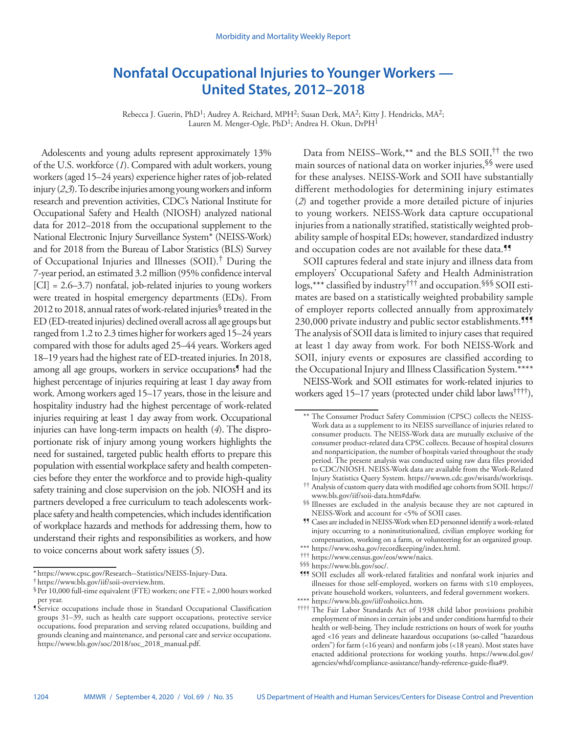# **Nonfatal Occupational Injuries to Younger Workers — United States, 2012–2018**

Rebecca J. Guerin, PhD<sup>1</sup>; Audrey A. Reichard, MPH<sup>2</sup>; Susan Derk, MA<sup>2</sup>; Kitty J. Hendricks, MA<sup>2</sup>; Lauren M. Menger-Ogle, PhD<sup>1</sup>; Andrea H. Okun, DrPH<sup>1</sup>

Adolescents and young adults represent approximately 13% of the U.S. workforce (*1*). Compared with adult workers, young workers (aged 15–24 years) experience higher rates of job-related injury (*2*,*3*). To describe injuries among young workers and inform research and prevention activities, CDC's National Institute for Occupational Safety and Health (NIOSH) analyzed national data for 2012–2018 from the occupational supplement to the National Electronic Injury Surveillance System\* (NEISS-Work) and for 2018 from the Bureau of Labor Statistics (BLS) Survey of Occupational Injuries and Illnesses (SOII).† During the 7-year period, an estimated 3.2 million (95% confidence interval [CI] = 2.6–3.7) nonfatal, job-related injuries to young workers were treated in hospital emergency departments (EDs). From 2012 to 2018, annual rates of work-related injuries§ treated in the ED (ED-treated injuries) declined overall across all age groups but ranged from 1.2 to 2.3 times higher for workers aged 15–24 years compared with those for adults aged 25–44 years. Workers aged 18–19 years had the highest rate of ED-treated injuries. In 2018, among all age groups, workers in service occupations<sup>1</sup> had the highest percentage of injuries requiring at least 1 day away from work. Among workers aged 15–17 years, those in the leisure and hospitality industry had the highest percentage of work-related injuries requiring at least 1 day away from work. Occupational injuries can have long-term impacts on health (*4*). The disproportionate risk of injury among young workers highlights the need for sustained, targeted public health efforts to prepare this population with essential workplace safety and health competencies before they enter the workforce and to provide high-quality safety training and close supervision on the job. NIOSH and its partners developed a free curriculum to teach adolescents workplace safety and health competencies, which includes identification of workplace hazards and methods for addressing them, how to understand their rights and responsibilities as workers, and how to voice concerns about work safety issues (*5*).

Data from NEISS–Work,\*\* and the BLS SOII,†† the two main sources of national data on worker injuries,§§ were used for these analyses. NEISS-Work and SOII have substantially different methodologies for determining injury estimates (*2*) and together provide a more detailed picture of injuries to young workers. NEISS-Work data capture occupational injuries from a nationally stratified, statistically weighted probability sample of hospital EDs; however, standardized industry and occupation codes are not available for these data.<sup>11</sup>

SOII captures federal and state injury and illness data from employers' Occupational Safety and Health Administration logs,\*\*\* classified by industry††† and occupation.§§§ SOII estimates are based on a statistically weighted probability sample of employer reports collected annually from approximately 230,000 private industry and public sector establishments.<sup>111</sup> The analysis of SOII data is limited to injury cases that required at least 1 day away from work. For both NEISS-Work and SOII, injury events or exposures are classified according to the Occupational Injury and Illness Classification System.\*\*

NEISS-Work and SOII estimates for work-related injuries to workers aged 15–17 years (protected under child labor laws††††),

 $^{\dagger\dagger}$  Analysis of custom query data with modified age cohorts from SOII. [https://](https://www.bls.gov/iif/soii-data.htm#dafw)<br>www.bls.gov/iif/soii-data.htm#dafw.

- 
- 
- 

<sup>\*</sup> [https://www.cpsc.gov/Research--Statistics/NEISS-Injury-Data.](https://www.cpsc.gov/Research--Statistics/NEISS-Injury-Data)<br>† <https://www.bls.gov/iif/soii-overview.htm>.<br>§ Per 10,000 full-time equivalent (FTE) workers; one FTE = 2,000 hours worked per year.

<sup>¶</sup> Service occupations include those in Standard Occupational Classification groups 31–39, such as health care support occupations, protective service occupations, food preparation and serving related occupations, building and grounds cleaning and maintenance, and personal care and service occupations. [https://www.bls.gov/soc/2018/soc\\_2018\\_manual.pdf.](https://www.bls.gov/soc/2018/soc_2018_manual.pdf)

<sup>\*\*</sup> The Consumer Product Safety Commission (CPSC) collects the NEISS-Work data as a supplement to its NEISS surveillance of injuries related to consumer products. The NEISS-Work data are mutually exclusive of the consumer product-related data CPSC collects. Because of hospital closures and nonparticipation, the number of hospitals varied throughout the study period. The present analysis was conducted using raw data files provided to CDC/NIOSH. NEISS-Work data are available from the Work-Related

<sup>§§</sup> Illnesses are excluded in the analysis because they are not captured in NEISS-Work and account for <5% of SOII cases.

<sup>¶¶</sup> Cases are included in NEISS-Work when ED personnel identify a work-related injury occurring to a noninstitutionalized, civilian employee working for compensation, working on a farm, or volunteering for an organized group.

<sup>\*\*\*</sup> [https://www.census.gov/eos/www/naics.](https://www.census.gov/eos/www/naics)<br><sup>§§§</sup> [https://www.bls.gov/soc/.](https://www.bls.gov/soc/) <br>**§**§§ https://www.bls.gov/soc/. illnesses for those self-employed, workers on farms with ≤10 employees, private household workers, volunteers, and federal government workers.

<sup>††††</sup> The Fair Labor Standards Act of 1938 child labor provisions prohibit employment of minors in certain jobs and under conditions harmful to their health or well-being. They include restrictions on hours of work for youths aged <16 years and delineate hazardous occupations (so-called "hazardous orders") for farm (<16 years) and nonfarm jobs (<18 years). Most states have enacted additional protections for working youths. [https://www.dol.gov/](https://www.dol.gov/agencies/whd/compliance-assistance/handy-reference-guide-flsa#9) [agencies/whd/compliance-assistance/handy-reference-guide-flsa#9.](https://www.dol.gov/agencies/whd/compliance-assistance/handy-reference-guide-flsa#9)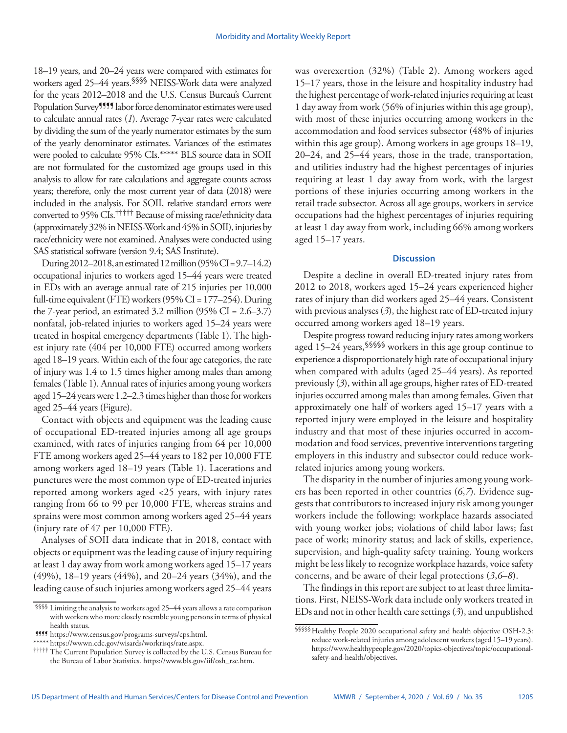18–19 years, and 20–24 years were compared with estimates for workers aged 25–44 years.§§§§ NEISS-Work data were analyzed for the years 2012–2018 and the U.S. Census Bureau's Current Population Survey<sup>9999</sup> labor force denominator estimates were used to calculate annual rates (*1*). Average 7-year rates were calculated by dividing the sum of the yearly numerator estimates by the sum of the yearly denominator estimates. Variances of the estimates were pooled to calculate 95% CIs.\*\*\*\*\* BLS source data in SOII are not formulated for the customized age groups used in this analysis to allow for rate calculations and aggregate counts across years; therefore, only the most current year of data (2018) were included in the analysis. For SOII, relative standard errors were converted to 95% CIs.††††† Because of missing race/ethnicity data (approximately 32% in NEISS-Work and 45% in SOII), injuries by race/ethnicity were not examined. Analyses were conducted using SAS statistical software (version 9.4; SAS Institute).

During 2012–2018, an estimated 12 million (95% CI = 9.7–14.2) occupational injuries to workers aged 15–44 years were treated in EDs with an average annual rate of 215 injuries per 10,000 full-time equivalent (FTE) workers (95% CI = 177–254). During the 7-year period, an estimated  $3.2$  million (95% CI = 2.6–3.7) nonfatal, job-related injuries to workers aged 15–24 years were treated in hospital emergency departments (Table 1). The highest injury rate (404 per 10,000 FTE) occurred among workers aged 18–19 years. Within each of the four age categories, the rate of injury was 1.4 to 1.5 times higher among males than among females (Table 1). Annual rates of injuries among young workers aged 15–24 years were 1.2–2.3 times higher than those for workers aged 25–44 years (Figure).

Contact with objects and equipment was the leading cause of occupational ED-treated injuries among all age groups examined, with rates of injuries ranging from 64 per 10,000 FTE among workers aged 25–44 years to 182 per 10,000 FTE among workers aged 18–19 years (Table 1). Lacerations and punctures were the most common type of ED-treated injuries reported among workers aged <25 years, with injury rates ranging from 66 to 99 per 10,000 FTE, whereas strains and sprains were most common among workers aged 25–44 years (injury rate of 47 per 10,000 FTE).

Analyses of SOII data indicate that in 2018, contact with objects or equipment was the leading cause of injury requiring at least 1 day away from work among workers aged 15–17 years (49%), 18–19 years (44%), and 20–24 years (34%), and the leading cause of such injuries among workers aged 25–44 years

was overexertion (32%) (Table 2). Among workers aged 15–17 years, those in the leisure and hospitality industry had the highest percentage of work-related injuries requiring at least 1 day away from work (56% of injuries within this age group), with most of these injuries occurring among workers in the accommodation and food services subsector (48% of injuries within this age group). Among workers in age groups 18–19, 20–24, and 25–44 years, those in the trade, transportation, and utilities industry had the highest percentages of injuries requiring at least 1 day away from work, with the largest portions of these injuries occurring among workers in the retail trade subsector. Across all age groups, workers in service occupations had the highest percentages of injuries requiring at least 1 day away from work, including 66% among workers aged 15–17 years.

## **Discussion**

Despite a decline in overall ED-treated injury rates from 2012 to 2018, workers aged 15–24 years experienced higher rates of injury than did workers aged 25–44 years. Consistent with previous analyses (*3*), the highest rate of ED-treated injury occurred among workers aged 18–19 years.

Despite progress toward reducing injury rates among workers aged 15–24 years,§§§§§ workers in this age group continue to experience a disproportionately high rate of occupational injury when compared with adults (aged 25–44 years). As reported previously (*3*), within all age groups, higher rates of ED-treated injuries occurred among males than among females. Given that approximately one half of workers aged 15–17 years with a reported injury were employed in the leisure and hospitality industry and that most of these injuries occurred in accommodation and food services, preventive interventions targeting employers in this industry and subsector could reduce workrelated injuries among young workers.

The disparity in the number of injuries among young workers has been reported in other countries (*6*,*7*). Evidence suggests that contributors to increased injury risk among younger workers include the following: workplace hazards associated with young worker jobs; violations of child labor laws; fast pace of work; minority status; and lack of skills, experience, supervision, and high-quality safety training. Young workers might be less likely to recognize workplace hazards, voice safety concerns, and be aware of their legal protections (*3*,*6*–*8*).

The findings in this report are subject to at least three limitations. First, NEISS-Work data include only workers treated in EDs and not in other health care settings (*3*), and unpublished

<sup>§§§§</sup> Limiting the analysis to workers aged 25–44 years allows a rate comparison with workers who more closely resemble young persons in terms of physical health status.

<sup>¶¶¶¶</sup> <https://www.census.gov/programs-surveys/cps.html>.

<sup>†††††</sup> The Current Population Survey is collected by the U.S. Census Bureau for the Bureau of Labor Statistics. [https://www.bls.gov/iif/osh\\_rse.htm.](https://www.bls.gov/iif/osh_rse.htm)

<sup>§§§§§</sup>Healthy People 2020 occupational safety and health objective OSH-2.3: reduce work-related injuries among adolescent workers (aged 15–19 years). [https://www.healthypeople.gov/2020/topics-objectives/topic/occupational](https://www.healthypeople.gov/2020/topics-objectives/topic/occupational-safety-and-health/objectives)[safety-and-health/objectives](https://www.healthypeople.gov/2020/topics-objectives/topic/occupational-safety-and-health/objectives).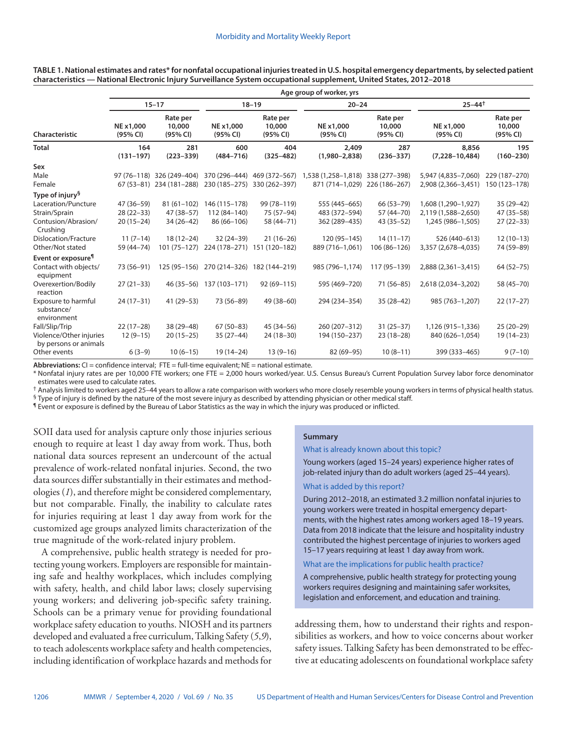|                                                         | Age group of worker, yrs |                                |                              |                                |                                   |                                |                             |                                |  |  |  |  |
|---------------------------------------------------------|--------------------------|--------------------------------|------------------------------|--------------------------------|-----------------------------------|--------------------------------|-----------------------------|--------------------------------|--|--|--|--|
|                                                         | $15 - 17$                |                                |                              | $18 - 19$                      | $20 - 24$                         |                                | $25 - 44$ <sup>†</sup>      |                                |  |  |  |  |
| Characteristic                                          | NE x1,000<br>(95% CI)    | Rate per<br>10,000<br>(95% CI) | NE x1,000<br>(95% CI)        | Rate per<br>10,000<br>(95% CI) | NE x1,000<br>(95% CI)             | Rate per<br>10,000<br>(95% CI) | NE x1,000<br>(95% CI)       | Rate per<br>10,000<br>(95% CI) |  |  |  |  |
| <b>Total</b>                                            | 164<br>$(131 - 197)$     | 281<br>$(223 - 339)$           | 600<br>$(484 - 716)$         | 404<br>$(325 - 482)$           | 2,409<br>$(1,980 - 2,838)$        | 287<br>$(236 - 337)$           | 8,856<br>$(7,228 - 10,484)$ | 195<br>$(160 - 230)$           |  |  |  |  |
| Sex                                                     |                          |                                |                              |                                |                                   |                                |                             |                                |  |  |  |  |
| Male                                                    |                          | 97 (76-118) 326 (249-404)      | 370 (296-444)                | 469 (372–567)                  | 1,538 (1,258-1,818) 338 (277-398) |                                | 5,947 (4,835-7,060)         | 229 (187-270)                  |  |  |  |  |
| Female                                                  |                          | 67 (53-81) 234 (181-288)       | 230 (185-275)                | 330 (262-397)                  | 871 (714-1,029) 226 (186-267)     |                                | 2,908 (2,366-3,451)         | 150 (123-178)                  |  |  |  |  |
| Type of injury <sup>§</sup>                             |                          |                                |                              |                                |                                   |                                |                             |                                |  |  |  |  |
| Laceration/Puncture                                     | 47 (36-59)               | $81(61-102)$                   | 146 (115-178)                | 99 (78-119)                    | 555 (445-665)                     | 66 (53-79)                     | 1,608 (1,290-1,927)         | $35(29-42)$                    |  |  |  |  |
| Strain/Sprain                                           | $28(22-33)$              | $47(38 - 57)$                  | 112 (84-140)                 | 75 (57-94)                     | 483 (372-594)                     | 57 (44 - 70)                   | 2,119 (1,588-2,650)         | 47 (35 - 58)                   |  |  |  |  |
| Contusion/Abrasion/<br>Crushing                         | $20(15-24)$              | $34(26-42)$                    | 86 (66-106)                  | 58 (44-71)                     | 362 (289-435)                     | $43(35-52)$                    | 1,245 (986-1,505)           | $27(22-33)$                    |  |  |  |  |
| Dislocation/Fracture                                    | $11(7-14)$               | $18(12-24)$                    | $32(24-39)$                  | $21(16-26)$                    | 120 (95-145)                      | $14(11-17)$                    | 526 (440-613)               | $12(10-13)$                    |  |  |  |  |
| Other/Not stated                                        | 59 (44 - 74)             | $101(75 - 127)$                | 224 (178-271)                | 151 (120-182)                  | 889 (716-1.061)                   | 106 (86-126)                   | 3,357 (2,678-4,035)         | 74 (59-89)                     |  |  |  |  |
| Event or exposure <sup>¶</sup>                          |                          |                                |                              |                                |                                   |                                |                             |                                |  |  |  |  |
| Contact with objects/<br>equipment                      | 73 (56-91)               | 125 (95-156)                   | 270 (214-326)                | 182 (144-219)                  | 985 (796-1,174)                   | 117 (95-139)                   | 2,888 (2,361-3,415)         | $64(52 - 75)$                  |  |  |  |  |
| Overexertion/Bodily<br>reaction                         | $27(21-33)$              |                                | 46 (35 - 56) 137 (103 - 171) | $92(69 - 115)$                 | 595 (469-720)                     | $71(56 - 85)$                  | 2,618 (2,034-3,202)         | 58 (45 - 70)                   |  |  |  |  |
| <b>Exposure to harmful</b><br>substance/<br>environment | $24(17-31)$              | $41(29 - 53)$                  | 73 (56-89)                   | 49 (38-60)                     | 294 (234-354)                     | $35(28-42)$                    | 985 (763-1,207)             | $22(17-27)$                    |  |  |  |  |
| Fall/Slip/Trip                                          | $22(17-28)$              | 38 (29-48)                     | $67(50-83)$                  | $45(34 - 56)$                  | 260 (207-312)                     | $31(25-37)$                    | 1,126 (915-1,336)           | $25(20-29)$                    |  |  |  |  |
| Violence/Other injuries<br>by persons or animals        | $12(9-15)$               | $20(15-25)$                    | $35(27-44)$                  | $24(18-30)$                    | 194 (150-237)                     | $23(18-28)$                    | 840 (626-1,054)             | $19(14-23)$                    |  |  |  |  |
| Other events                                            | $6(3-9)$                 | $10(6-15)$                     | 19 (14 - 24)                 | $13(9-16)$                     | 82 (69-95)                        | $10(8-11)$                     | 399 (333-465)               | $9(7-10)$                      |  |  |  |  |

**TABLE 1. National estimates and rates\* for nonfatal occupational injuries treated in U.S. hospital emergency departments, by selected patient characteristics — National Electronic Injury Surveillance System occupational supplement, United States, 2012–2018**

Abbreviations: CI = confidence interval; FTE = full-time equivalent; NE = national estimate.

\* Nonfatal injury rates are per 10,000 FTE workers; one FTE = 2,000 hours worked/year. U.S. Census Bureau's Current Population Survey labor force denominator estimates were used to calculate rates.

† Analysis limited to workers aged 25–44 years to allow a rate comparison with workers who more closely resemble young workers in terms of physical health status. § Type of injury is defined by the nature of the most severe injury as described by attending physician or other medical staff.

¶ Event or exposure is defined by the Bureau of Labor Statistics as the way in which the injury was produced or inflicted.

SOII data used for analysis capture only those injuries serious enough to require at least 1 day away from work. Thus, both national data sources represent an undercount of the actual prevalence of work-related nonfatal injuries. Second, the two data sources differ substantially in their estimates and methodologies (*1*), and therefore might be considered complementary, but not comparable. Finally, the inability to calculate rates for injuries requiring at least 1 day away from work for the customized age groups analyzed limits characterization of the true magnitude of the work-related injury problem.

A comprehensive, public health strategy is needed for protecting young workers. Employers are responsible for maintaining safe and healthy workplaces, which includes complying with safety, health, and child labor laws; closely supervising young workers; and delivering job-specific safety training. Schools can be a primary venue for providing foundational workplace safety education to youths. NIOSH and its partners developed and evaluated a free curriculum, Talking Safety (*5*,*9*), to teach adolescents workplace safety and health competencies, including identification of workplace hazards and methods for

#### **Summary**

What is already known about this topic?

Young workers (aged 15–24 years) experience higher rates of job-related injury than do adult workers (aged 25–44 years).

#### What is added by this report?

During 2012–2018, an estimated 3.2 million nonfatal injuries to young workers were treated in hospital emergency departments, with the highest rates among workers aged 18–19 years. Data from 2018 indicate that the leisure and hospitality industry contributed the highest percentage of injuries to workers aged 15–17 years requiring at least 1 day away from work.

What are the implications for public health practice?

A comprehensive, public health strategy for protecting young workers requires designing and maintaining safer worksites, legislation and enforcement, and education and training.

addressing them, how to understand their rights and responsibilities as workers, and how to voice concerns about worker safety issues. Talking Safety has been demonstrated to be effective at educating adolescents on foundational workplace safety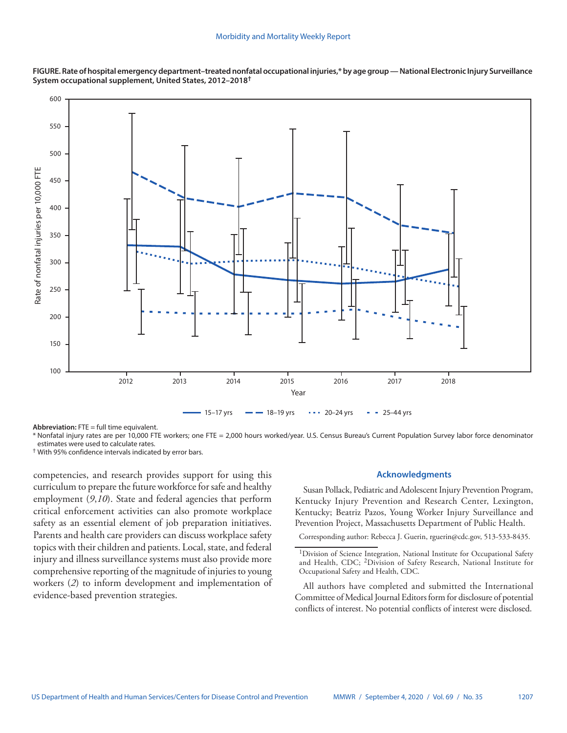



**Abbreviation:** FTE = full time equivalent.

\* Nonfatal injury rates are per 10,000 FTE workers; one FTE = 2,000 hours worked/year. U.S. Census Bureau's Current Population Survey labor force denominator estimates were used to calculate rates.

† With 95% confidence intervals indicated by error bars.

competencies, and research provides support for using this curriculum to prepare the future workforce for safe and healthy employment (*9*,*10*). State and federal agencies that perform critical enforcement activities can also promote workplace safety as an essential element of job preparation initiatives. Parents and health care providers can discuss workplace safety topics with their children and patients. Local, state, and federal injury and illness surveillance systems must also provide more comprehensive reporting of the magnitude of injuries to young workers (*2*) to inform development and implementation of evidence-based prevention strategies.

## **Acknowledgments**

Susan Pollack, Pediatric and Adolescent Injury Prevention Program, Kentucky Injury Prevention and Research Center, Lexington, Kentucky; Beatriz Pazos, Young Worker Injury Surveillance and Prevention Project, Massachusetts Department of Public Health.

Corresponding author: Rebecca J. Guerin, [rguerin@cdc.gov,](mailto:rguerin@cdc.gov) 513-533-8435.

All authors have completed and submitted the International Committee of Medical Journal Editors form for disclosure of potential conflicts of interest. No potential conflicts of interest were disclosed.

<sup>&</sup>lt;sup>1</sup>Division of Science Integration, National Institute for Occupational Safety and Health, CDC; 2Division of Safety Research, National Institute for Occupational Safety and Health, CDC.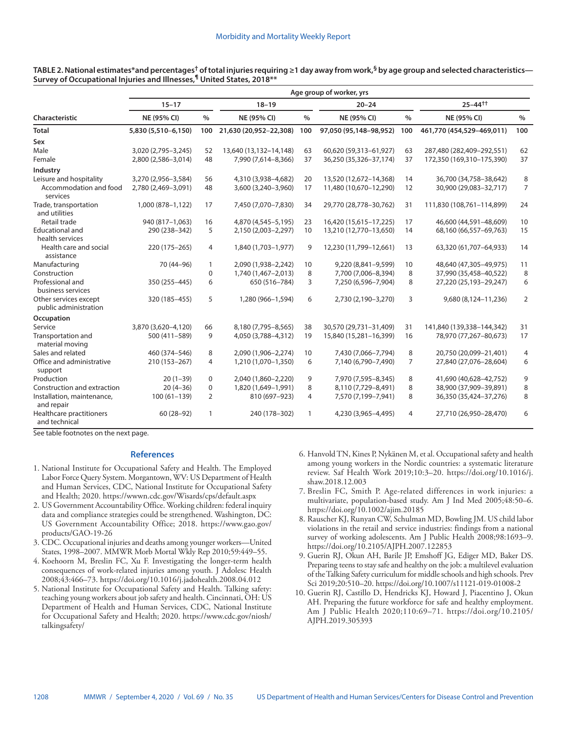| TABLE 2. National estimates*and percentages <sup>†</sup> of total injuries requiring ≥1 day away from work, <sup>§</sup> by age group and selected characteristics— |  |
|---------------------------------------------------------------------------------------------------------------------------------------------------------------------|--|
| Survey of Occupational Injuries and Illnesses, <sup>¶</sup> United States, 2018**                                                                                   |  |

|                                                | Age group of worker, yrs |                |                        |      |                        |                |                           |                |  |
|------------------------------------------------|--------------------------|----------------|------------------------|------|------------------------|----------------|---------------------------|----------------|--|
|                                                | $15 - 17$                |                | $18 - 19$              |      | $20 - 24$              |                | $25 - 44$ <sup>++</sup>   |                |  |
| Characteristic                                 | NE (95% CI)              | $\frac{0}{0}$  | NE (95% CI)            | $\%$ | NE (95% CI)            | $\frac{0}{0}$  | NE (95% CI)               | $\frac{0}{0}$  |  |
| <b>Total</b>                                   | 5,830 (5,510-6,150)      | 100            | 21,630 (20,952-22,308) | 100  | 97,050 (95,148-98,952) | 100            | 461,770 (454,529-469,011) | 100            |  |
| Sex                                            |                          |                |                        |      |                        |                |                           |                |  |
| Male                                           | 3,020 (2,795-3,245)      | 52             | 13,640 (13,132-14,148) | 63   | 60,620 (59,313-61,927) | 63             | 287,480 (282,409-292,551) | 62             |  |
| Female                                         | 2,800 (2,586-3,014)      | 48             | 7,990 (7,614-8,366)    | 37   | 36,250 (35,326-37,174) | 37             | 172,350 (169,310-175,390) | 37             |  |
| Industry                                       |                          |                |                        |      |                        |                |                           |                |  |
| Leisure and hospitality                        | 3,270 (2,956-3,584)      | 56             | 4,310 (3,938-4,682)    | 20   | 13,520 (12,672-14,368) | 14             | 36,700 (34,758-38,642)    | 8              |  |
| Accommodation and food<br>services             | 2,780 (2,469-3,091)      | 48             | 3,600 (3,240-3,960)    | 17   | 11,480 (10,670-12,290) | 12             | 30,900 (29,083-32,717)    | $\overline{7}$ |  |
| Trade, transportation<br>and utilities         | 1,000 (878-1,122)        | 17             | 7,450 (7,070-7,830)    | 34   | 29,770 (28,778-30,762) | 31             | 111,830 (108,761-114,899) | 24             |  |
| Retail trade                                   | 940 (817-1.063)          | 16             | 4,870 (4,545-5,195)    | 23   | 16,420 (15,615-17,225) | 17             | 46,600 (44,591-48,609)    | 10             |  |
| <b>Educational and</b><br>health services      | 290 (238-342)            | 5              | 2,150 (2,003-2,297)    | 10   | 13,210 (12,770-13,650) | 14             | 68,160 (66,557-69,763)    | 15             |  |
| Health care and social<br>assistance           | 220 (175-265)            | 4              | 1,840 (1,703-1,977)    | 9    | 12,230 (11,799-12,661) | 13             | 63,320 (61,707-64,933)    | 14             |  |
| Manufacturing                                  | 70 (44-96)               | $\mathbf{1}$   | 2,090 (1,938-2,242)    | 10   | 9,220 (8,841-9,599)    | 10             | 48,640 (47,305-49,975)    | 11             |  |
| Construction                                   |                          | 0              | 1,740 (1,467-2,013)    | 8    | 7,700 (7,006-8,394)    | 8              | 37,990 (35,458-40,522)    | 8              |  |
| Professional and<br>business services          | 350 (255-445)            | 6              | 650 (516-784)          | 3    | 7,250 (6,596-7,904)    | 8              | 27,220 (25,193-29,247)    | 6              |  |
| Other services except<br>public administration | 320 (185-455)            | 5              | 1,280 (966-1,594)      | 6    | 2,730 (2,190-3,270)    | 3              | 9,680 (8,124-11,236)      | $\overline{2}$ |  |
| Occupation                                     |                          |                |                        |      |                        |                |                           |                |  |
| Service                                        | 3,870 (3,620-4,120)      | 66             | 8,180 (7,795-8,565)    | 38   | 30,570 (29,731-31,409) | 31             | 141,840 (139,338-144,342) | 31             |  |
| Transportation and<br>material moving          | 500 (411-589)            | 9              | 4,050 (3,788-4,312)    | 19   | 15,840 (15,281-16,399) | 16             | 78,970 (77,267-80,673)    | 17             |  |
| Sales and related                              | 460 (374-546)            | 8              | 2,090 (1,906-2,274)    | 10   | 7,430 (7,066-7,794)    | 8              | 20,750 (20,099-21,401)    | 4              |  |
| Office and administrative<br>support           | 210 (153-267)            | 4              | 1,210 (1,070-1,350)    | 6    | 7,140 (6,790-7,490)    | $\overline{7}$ | 27,840 (27,076-28,604)    | 6              |  |
| Production                                     | $20(1-39)$               | 0              | 2,040 (1,860-2,220)    | 9    | 7,970 (7,595-8,345)    | 8              | 41,690 (40,628-42,752)    | 9              |  |
| Construction and extraction                    | $20(4-36)$               | $\mathbf 0$    | 1,820 (1,649-1,991)    | 8    | 8,110 (7,729-8,491)    | 8              | 38,900 (37,909-39,891)    | 8              |  |
| Installation, maintenance,<br>and repair       | $100(61-139)$            | $\overline{2}$ | 810 (697-923)          | 4    | 7,570 (7,199-7,941)    | 8              | 36,350 (35,424-37,276)    | 8              |  |
| Healthcare practitioners<br>and technical      | $60(28-92)$              | $\mathbf{1}$   | 240 (178-302)          | 1    | 4,230 (3,965-4,495)    | 4              | 27,710 (26,950-28,470)    | 6              |  |

See table footnotes on the next page.

# **References**

- 1. National Institute for Occupational Safety and Health. The Employed Labor Force Query System. Morgantown, WV: US Department of Health and Human Services, CDC, National Institute for Occupational Safety and Health; 2020.<https://wwwn.cdc.gov/Wisards/cps/default.aspx>
- 2. US Government Accountability Office. Working children: federal inquiry data and compliance strategies could be strengthened. Washington, DC: US Government Accountability Office; 2018. [https://www.gao.gov/](https://www.gao.gov/products/GAO-19-26) [products/GAO-19-26](https://www.gao.gov/products/GAO-19-26)
- 3. CDC. Occupational injuries and deaths among younger workers—United States, 1998–2007. MMWR Morb Mortal Wkly Rep 2010;59:449–55.
- 4. Koehoorn M, Breslin FC, Xu F. Investigating the longer-term health consequences of work-related injuries among youth. J Adolesc Health 2008;43:466–73. <https://doi.org/10.1016/j.jadohealth.2008.04.012>
- 5. National Institute for Occupational Safety and Health. Talking safety: teaching young workers about job safety and health. Cincinnati, OH: US Department of Health and Human Services, CDC, National Institute for Occupational Safety and Health; 2020. [https://www.cdc.gov/niosh/](https://www.cdc.gov/niosh/talkingsafety/) [talkingsafety/](https://www.cdc.gov/niosh/talkingsafety/)
- 6. Hanvold TN, Kines P, Nykänen M, et al. Occupational safety and health among young workers in the Nordic countries: a systematic literature review. Saf Health Work 2019;10:3–20. [https://doi.org/10.1016/j.](https://doi.org/10.1016/j.shaw.2018.12.003) [shaw.2018.12.003](https://doi.org/10.1016/j.shaw.2018.12.003)
- 7. Breslin FC, Smith P. Age-related differences in work injuries: a multivariate, population-based study. Am J Ind Med 2005;48:50–6. <https://doi.org/10.1002/ajim.20185>
- 8. Rauscher KJ, Runyan CW, Schulman MD, Bowling JM. US child labor violations in the retail and service industries: findings from a national survey of working adolescents. Am J Public Health 2008;98:1693–9. <https://doi.org/10.2105/AJPH.2007.122853>
- 9. Guerin RJ, Okun AH, Barile JP, Emshoff JG, Ediger MD, Baker DS. Preparing teens to stay safe and healthy on the job: a multilevel evaluation of the Talking Safety [cu](https://www.ncbi.nlm.nih.gov/entrez/query.fcgi?cmd=Retrieve&db=PubMed&list_uids=30904978&dopt=Abstract)rriculum for middle schools and high schools. Prev Sci 2019;20:510–20. <https://doi.org/10.1007/s11121-019-01008-2>
- 10. Guerin RJ, Castillo D, Hendricks KJ, Howard J, Piacentino J, Okun AH. Preparing the future workforce for safe and healthy employment. Am J Public Health 2020;110:69–71. [https://doi.org/10.2105/](https://doi.org/10.2105/AJPH.2019.305393) [AJPH.2019.305393](https://doi.org/10.2105/AJPH.2019.305393)